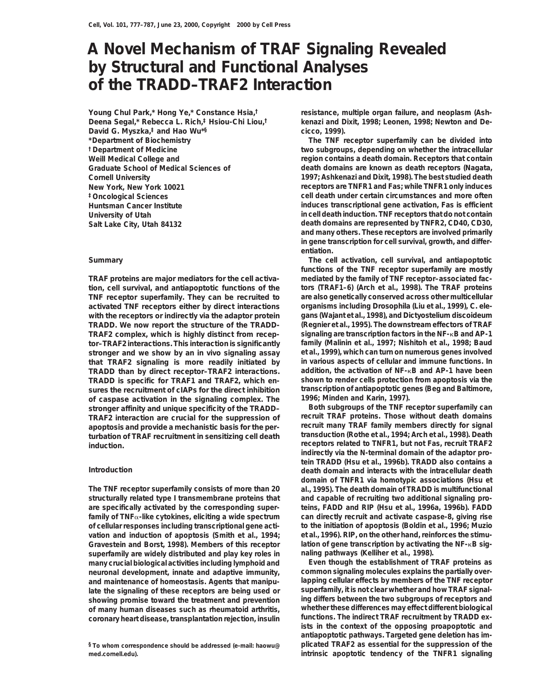# **A Novel Mechanism of TRAF Signaling Revealed by Structural and Functional Analyses of the TRADD–TRAF2 Interaction**

**Young Chul Park,\* Hong Ye,\* Constance Hsia,† Deena Segal,\* Rebecca L. Rich,‡ Hsiou-Chi Liou,† David G. Myszka,‡ and Hao Wu\*§ \*Department of Biochemistry †Department of Medicine**

**tion, cell survival, and antiapoptotic functions of the tors (TRAF1–6) (Arch et al., 1998). The TRAF proteins TNF receptor superfamily. They can be recruited to are also genetically conserved across other multicellular activated TNF receptors either by direct interactions organisms including** *Drosophila* **(Liu et al., 1999),** *C. ele***with the receptors or indirectly via the adaptor protein** *gans* **(Wajant et al., 1998), and** *Dictyostelium discoideum* **TRADD. We now report the structure of the TRADD-TRAF2 complex, which is highly distinct from recep- signaling are transcription factors in the NF-**k**B and AP-1 tor–TRAF2 interactions. This interaction is significantly family (Malinin et al., 1997; Nishitoh et al., 1998; Baud stronger and we show by an in vivo signaling assay et al., 1999), which can turn on numerous genes involved that TRAF2 signaling is more readily initiated by in various aspects of cellular and immune functions. In TRADD than by direct receptor–TRAF2 interactions. addition, the activation of NF-**k**B and AP-1 have been TRADD is specific for TRAF1 and TRAF2, which en- shown to render cells protection from apoptosis via the sures the recruitment of cIAPs for the direct inhibition transcription of antiapoptotic genes (Beg and Baltimore, of caspase activation in the signaling complex. The 1996; Minden and Karin, 1997). stronger affinity and unique specificity of the TRADD– Both subgroups of the TNF receptor superfamily can TRAF2 interaction are crucial for the suppression of recruit TRAF proteins. Those without death domains apoptosis and provide a mechanistic basis for the per- recruit many TRAF family members directly for signal transduction (Rothe et al., 1994; Arch et al., 1998). Death turbation of TRAF recruitment in sensitizing cell death receptors related to TNFR1, but not Fas, recruit TRAF2 induction.**

**The TNF receptor superfamily consists of more than 20 al., 1995). The death domain of TRADD is multifunctional structurally related type I transmembrane proteins that and capable of recruiting two additional signaling proare specifically activated by the corresponding super- teins, FADD and RIP (Hsu et al., 1996a, 1996b). FADD family of TNF**a**-like cytokines, eliciting a wide spectrum can directly recruit and activate caspase-8, giving rise of cellular responses including transcriptional gene acti- to the initiation of apoptosis (Boldin et al., 1996; Muzio vation and induction of apoptosis (Smith et al., 1994; et al., 1996). RIP, on the other hand, reinforces the stimu-Gravestein and Borst, 1998). Members of this receptor lation of gene transcription by activating the NF-**k**B sigsuperfamily are widely distributed and play key roles in naling pathways (Kelliher et al., 1998). many crucial biological activities including lymphoid and Even though the establishment of TRAF proteins as neuronal development, innate and adaptive immunity,** and maintenance of homeostasis. Agents that manipu-<br>
lapping cellular effects by members of the TNF receptor<br>
late the signaling of these receptors are being used or superfamily, it is not clear whether and how TRAF signal **late the signaling of these receptors are being used or superfamily, it is not clear whether and how TRAF signalshowing promise toward the treatment and prevention ing differs between the two subgroups of receptors and of many human diseases such as rheumatoid arthritis, whether these differences may effect different biological** coronary heart disease, transplantation rejection, insulin

**med.cornell.edu). intrinsic apoptotic tendency of the TNFR1 signaling**

**resistance, multiple organ failure, and neoplasm (Ashkenazi and Dixit, 1998; Leonen, 1998; Newton and Decicco, 1999).**

**The TNF receptor superfamily can be divided into two subgroups, depending on whether the intracellular Weill Medical College and region contains a death domain. Receptors that contain Graduate School of Medical Sciences of death domains are known as death receptors (Nagata, Cornell University 1997; Ashkenazi and Dixit, 1998). The best studied death New York, New York 10021 receptors are TNFR1 and Fas; while TNFR1 only induces ‡Oncological Sciences cell death under certain circumstances and more often Huntsman Cancer Institute induces transcriptional gene activation, Fas is efficient University of Utah in cell death induction. TNF receptors that do not contain Salt Lake City, Utah 84132 death domains are represented by TNFR2, CD40, CD30, and many others. These receptors are involved primarily in gene transcription for cell survival, growth, and differentiation.**

**Summary The cell activation, cell survival, and antiapoptotic functions of the TNF receptor superfamily are mostly TRAF proteins are major mediators for the cell activa- mediated by the family of TNF receptor–associated fac-**

**indirectly via the N-terminal domain of the adaptor protein TRADD (Hsu et al., 1996b). TRADD also contains a Introduction death domain and interacts with the intracellular death domain of TNFR1 via homotypic associations (Hsu et**

**ists in the context of the opposing proapoptotic and antiapoptotic pathways. Targeted gene deletion has im- §To whom correspondence should be addressed (e-mail: haowu@ plicated TRAF2 as essential for the suppression of the**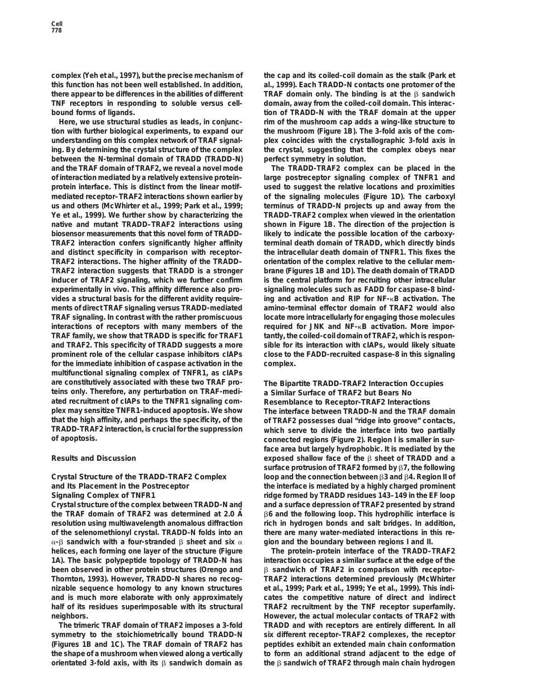**complex (Yeh et al., 1997), but the precise mechanism of the cap and its coiled-coil domain as the stalk (Park et this function has not been well established. In addition, al., 1999). Each TRADD-N contacts one protomer of the there appear to be differences in the abilities of different TRAF domain only. The binding is at the** b **sandwich TNF receptors in responding to soluble versus cell- domain, away from the coiled-coil domain. This interacbound forms of ligands. tion of TRADD-N with the TRAF domain at the upper**

**tion with further biological experiments, to expand our the mushroom (Figure 1B). The 3-fold axis of the comunderstanding on this complex network of TRAF signal- plex coincides with the crystallographic 3-fold axis in ing. By determining the crystal structure of the complex the crystal, suggesting that the complex obeys near between the N-terminal domain of TRADD (TRADD-N) perfect symmetry in solution. and the TRAF domain of TRAF2, we reveal a novel mode The TRADD-TRAF2 complex can be placed in the of interaction mediated by a relatively extensive protein– large postreceptor signaling complex of TNFR1 and protein interface. This is distinct from the linear motif– used to suggest the relative locations and proximities mediated receptor–TRAF2 interactions shown earlier by of the signaling molecules (Figure 1D). The carboxyl us and others (McWhirter et al., 1999; Park et al., 1999; terminus of TRADD-N projects up and away from the Ye et al., 1999). We further show by characterizing the TRADD-TRAF2 complex when viewed in the orientation native and mutant TRADD–TRAF2 interactions using shown in Figure 1B. The direction of the projection is biosensor measurements that this novel form of TRADD– likely to indicate the possible location of the carboxy-TRAF2 interaction confers significantly higher affinity terminal death domain of TRADD, which directly binds and distinct specificity in comparison with receptor– the intracellular death domain of TNFR1. This fixes the TRAF2 interactions. The higher affinity of the TRADD– orientation of the complex relative to the cellular mem-TRAF2 interaction suggests that TRADD is a stronger brane (Figures 1B and 1D). The death domain of TRADD inducer of TRAF2 signaling, which we further confirm is the central platform for recruiting other intracellular experimentally in vivo. This affinity difference also pro- signaling molecules such as FADD for caspase-8 bindvides a structural basis for the different avidity require- ing and activation and RIP for NF-**k**B activation. The ments of direct TRAF signaling versus TRADD-mediated amino-terminal effector domain of TRAF2 would also TRAF signaling. In contrast with the rather promiscuous locate more intracellularly for engaging those molecules interactions of receptors with many members of the required for JNK and NF-**k**B activation. More impor-TRAF family, we show that TRADD is specific for TRAF1 tantly, the coiled-coil domain of TRAF2, which is responand TRAF2. This specificity of TRADD suggests a more sible for its interaction with cIAPs, would likely situate prominent role of the cellular caspase inhibitors cIAPs close to the FADD-recruited caspase-8 in this signaling for the immediate inhibition of caspase activation in the complex. multifunctional signaling complex of TNFR1, as cIAPs are constitutively associated with these two TRAF pro- The Bipartite TRADD-TRAF2 Interaction Occupies teins only. Therefore, any perturbation on TRAF-medi- a Similar Surface of TRAF2 but Bears No ated recruitment of cIAPs to the TNFR1 signaling com- Resemblance to Receptor-TRAF2 Interactions plex may sensitize TNFR1-induced apoptosis. We show The interface between TRADD-N and the TRAF domain that the high affinity, and perhaps the specificity, of the of TRAF2 possesses dual "ridge into groove" contacts,**

Crystal structure of the complex between TRADD-N and and a surface depression of TRAF2 presented by strand **the TRAF domain of TRAF2 was determined at 2.0 A˚** b**6 and the following loop. This hydrophilic interface is resolution using multiwavelength anomalous diffraction rich in hydrogen bonds and salt bridges. In addition, of the selenomethionyl crystal. TRADD-N folds into an there are many water-mediated interactions in this re-** $\alpha$ - $\beta$  sandwich with a four-stranded  $\beta$  sheet and six  $\alpha$  gion and the boundary between regions I and II. **helices, each forming one layer of the structure (Figure The protein–protein interface of the TRADD–TRAF2 1A). The basic polypeptide topology of TRADD-N has interaction occupies a similar surface at the edge of the been observed in other protein structures (Orengo and** b **sandwich of TRAF2 in comparison with receptor– Thornton, 1993). However, TRADD-N shares no recog- TRAF2 interactions determined previously (McWhirter nizable sequence homology to any known structures et al., 1999; Park et al., 1999; Ye et al., 1999). This indiand is much more elaborate with only approximately cates the competitive nature of direct and indirect half of its residues superimposable with its structural TRAF2 recruitment by the TNF receptor superfamily.**

symmetry to the stoichiometrically bound TRADD-N six different receptor–TRAF2 complexes, the receptor **(Figures 1B and 1C). The TRAF domain of TRAF2 has peptides exhibit an extended main chain conformation the shape of a mushroom when viewed along a vertically to form an additional strand adjacent to the edge of orientated 3-fold axis, with its** b **sandwich domain as the** b **sandwich of TRAF2 through main chain hydrogen**

**Here, we use structural studies as leads, in conjunc- rim of the mushroom cap adds a wing-like structure to**

# which serve to divide the interface into two partially

**of apoptosis. connected regions (Figure 2). Region I is smaller in surface area but largely hydrophobic. It is mediated by the Results and Discussion exposed shallow face of the** b **sheet of TRADD and a surface protrusion of TRAF2 formed by** b**7, the following Crystal Structure of the TRADD-TRAF2 Complex loop and the connection between** b**3 and** b**4. Region II of and Its Placement in the Postreceptor the interface is mediated by a highly charged prominent Signaling Complex of TNFR1 ridge formed by TRADD residues 143–149 in the EF loop**

**neighbors. here neighbors however, the actual molecular contacts of TRAF2 with The trimeric TRAF domain of TRAF2 imposes a 3-fold TRADD and with receptors are entirely different. In all**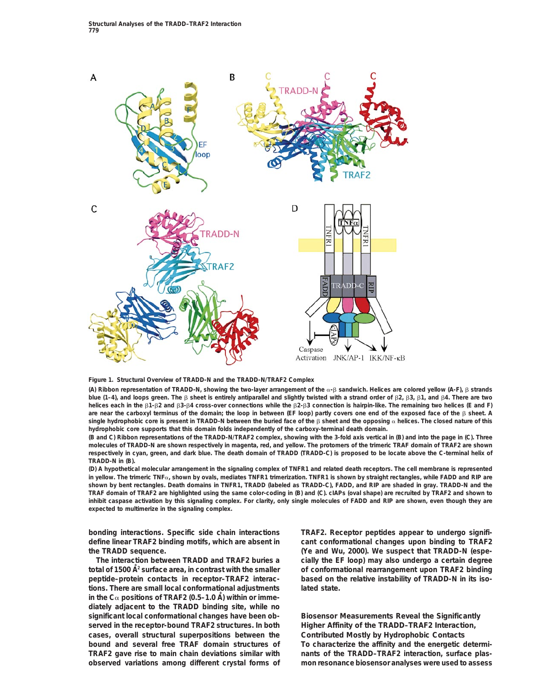

**Figure 1. Structural Overview of TRADD-N and the TRADD-N/TRAF2 Complex**

**(A) Ribbon representation of TRADD-N, showing the two-layer arrangement of the** a**-**b **sandwich. Helices are colored yellow (A-F),** b **strands blue (1–4), and loops green. The** b **sheet is entirely antiparallel and slightly twisted with a strand order of** b**2,** b**3,** b**1, and** b**4. There are two helices each in the** b**1-**b**2 and** b**3-**b**4 cross-over connections while the** b**2-**b**3 connection is hairpin-like. The remaining two helices (E and F) are near the carboxyl terminus of the domain; the loop in between (EF loop) partly covers one end of the exposed face of the** b **sheet. A** single hydrophobic core is present in TRADD-N between the buried face of the  $\beta$  sheet and the opposing  $\alpha$  helices. The closed nature of this **hydrophobic core supports that this domain folds independently of the carboxy-terminal death domain.**

**(B and C) Ribbon representations of the TRADD-N/TRAF2 complex, showing with the 3-fold axis vertical in (B) and into the page in (C). Three molecules of TRADD-N are shown respectively in magenta, red, and yellow. The protomers of the trimeric TRAF domain of TRAF2 are shown respectively in cyan, green, and dark blue. The death domain of TRADD (TRADD-C) is proposed to be locate above the C-terminal helix of TRADD-N in (B).**

**(D) A hypothetical molecular arrangement in the signaling complex of TNFR1 and related death receptors. The cell membrane is represented in yellow. The trimeric TNF**a**, shown by ovals, mediates TNFR1 trimerization. TNFR1 is shown by straight rectangles, while FADD and RIP are shown by bent rectangles. Death domains in TNFR1, TRADD (labeled as TRADD-C), FADD, and RIP are shaded in gray. TRADD-N and the TRAF domain of TRAF2 are highlighted using the same color-coding in (B) and (C). cIAPs (oval shape) are recruited by TRAF2 and shown to inhibit caspase activation by this signaling complex. For clarity, only single molecules of FADD and RIP are shown, even though they are expected to multimerize in the signaling complex.**

**peptide–protein contacts in receptor–TRAF2 interac- based on the relative instability of TRADD-N in its isotions. There are small local conformational adjustments lated state.** in the  $C_{\alpha}$  positions of TRAF2 (0.5–1.0 A) within or imme**diately adjacent to the TRADD binding site, while no significant local conformational changes have been ob- Biosensor Measurements Reveal the Significantly served in the receptor-bound TRAF2 structures. In both Higher Affinity of the TRADD–TRAF2 Interaction, cases, overall structural superpositions between the Contributed Mostly by Hydrophobic Contacts bound and several free TRAF domain structures of To characterize the affinity and the energetic determi-**TRAF2 gave rise to main chain deviations similar with nants of the TRADD-TRAF2 interaction, surface plas**observed variations among different crystal forms of mon resonance biosensor analyses were used to assess**

**bonding interactions. Specific side chain interactions TRAF2. Receptor peptides appear to undergo signifidefine linear TRAF2 binding motifs, which are absent in cant conformational changes upon binding to TRAF2 the TRADD sequence. (Ye and Wu, 2000). We suspect that TRADD-N (espe-The interaction between TRADD and TRAF2 buries a cially the EF loop) may also undergo a certain degree total of 1500 A˚ <sup>2</sup> surface area, in contrast with the smaller of conformational rearrangement upon TRAF2 binding**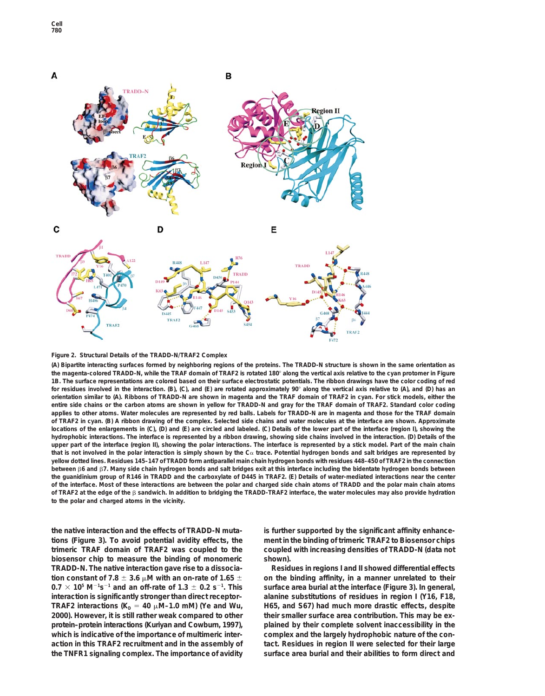

## **Figure 2. Structural Details of the TRADD-N/TRAF2 Complex**

**(A) Bipartite interacting surfaces formed by neighboring regions of the proteins. The TRADD-N structure is shown in the same orientation as the magenta-colored TRADD-N, while the TRAF domain of TRAF2 is rotated 180**8 **along the vertical axis relative to the cyan protomer in Figure 1B. The surface representations are colored based on their surface electrostatic potentials. The ribbon drawings have the color coding of red for residues involved in the interaction. (B), (C), and (E) are rotated approximately 90**8 **along the vertical axis relative to (A), and (D) has an orientation similar to (A). Ribbons of TRADD-N are shown in magenta and the TRAF domain of TRAF2 in cyan. For stick models, either the entire side chains or the carbon atoms are shown in yellow for TRADD-N and gray for the TRAF domain of TRAF2. Standard color coding applies to other atoms. Water molecules are represented by red balls. Labels for TRADD-N are in magenta and those for the TRAF domain of TRAF2 in cyan. (B) A ribbon drawing of the complex. Selected side chains and water molecules at the interface are shown. Approximate locations of the enlargements in (C), (D) and (E) are circled and labeled. (C) Details of the lower part of the interface (region I), showing the hydrophobic interactions. The interface is represented by a ribbon drawing, showing side chains involved in the interaction. (D) Details of the upper part of the interface (region II), showing the polar interactions. The interface is represented by a stick model. Part of the main chain that is not involved in the polar interaction is simply shown by the C**a **trace. Potential hydrogen bonds and salt bridges are represented by yellow dotted lines. Residues 145–147 of TRADD form antiparallel main chain hydrogen bonds with residues 448–450 of TRAF2 in the connection between** b**6 and** b**7. Many side chain hydrogen bonds and salt bridges exit at this interface including the bidentate hydrogen bonds between the guanidinium group of R146 in TRADD and the carboxylate of D445 in TRAF2. (E) Details of water-mediated interactions near the center of the interface. Most of these interactions are between the polar and charged side chain atoms of TRADD and the polar main chain atoms of TRAF2 at the edge of the** b **sandwich. In addition to bridging the TRADD-TRAF2 interface, the water molecules may also provide hydration to the polar and charged atoms in the vicinity.**

**the native interaction and the effects of TRADD-N muta- is further supported by the significant affinity enhancetions (Figure 3). To avoid potential avidity effects, the ment in the binding of trimeric TRAF2 to Biosensor chips trimeric TRAF domain of TRAF2 was coupled to the coupled with increasing densities of TRADD-N (data not biosensor chip to measure the binding of monomeric shown). TRADD-N. The native interaction gave rise to a dissocia- Residues in regions I and II showed differential effects** tion constant of 7.8  $\pm$  3.6  $\mu$ M with an on-rate of 1.65  $\pm$  on the binding affinity, in a manner unrelated to their  $0.7 \times 10^5$  M<sup>-1</sup>s<sup>-1</sup> and an off-rate of 1.3  $\pm$  0.2 s<sup>-1</sup> **interaction is significantly stronger than direct receptor– alanine substitutions of residues in region I (Y16, F18, TRAF2** interactions ( $K_D = 40 \mu M - 1.0 \text{ mM}$ ) (Ye and Wu, H65, and S67) had much more drastic effects, despite 2000). However, it is still rather weak compared to other their smaller surface area contribution. This may be **protein–protein interactions (Kuriyan and Cowburn, 1997), plained by their complete solvent inaccessibility in the which is indicative of the importance of multimeric inter- complex and the largely hydrophobic nature of the conaction in this TRAF2 recruitment and in the assembly of tact. Residues in region II were selected for their large the TNFR1 signaling complex. The importance of avidity surface area burial and their abilities to form direct and**

surface area burial at the interface (Figure 3). In general, their smaller surface area contribution. This may be ex-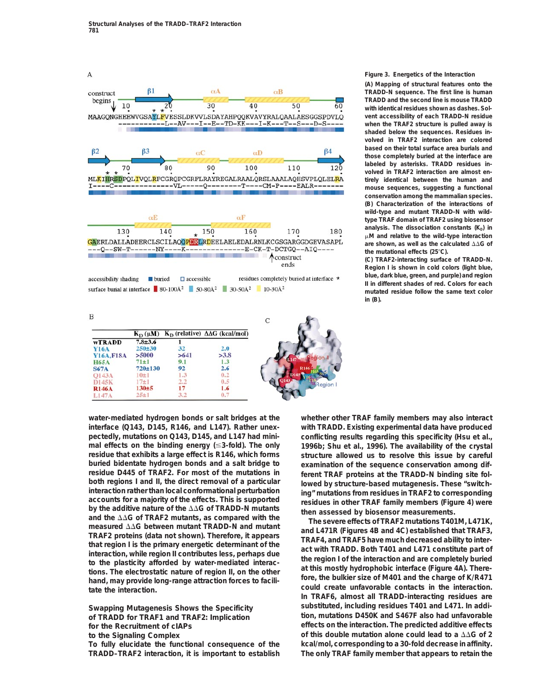

 $0.5$ 

1.6

 $0.7$ 

### **Figure 3. Energetics of the Interaction**

**(A) Mapping of structural features onto the TRADD-N sequence. The first line is human TRADD and the second line is mouse TRADD with identical residues shown as dashes. Solvent accessibility of each TRADD-N residue when the TRAF2 structure is pulled away is shaded below the sequences. Residues involved in TRAF2 interaction are colored based on their total surface area burials and those completely buried at the interface are labeled by asterisks. TRADD residues involved in TRAF2 interaction are almost entirely identical between the human and mouse sequences, suggesting a functional conservation among the mammalian species. (B) Characterization of the interactions of wild-type and mutant TRADD-N with wildtype TRAF domain of TRAF2 using biosensor** analysis. The dissociation constants (K<sub>p</sub>) in m**M and relative to the wild-type interaction** are shown, as well as the calculated  $\Delta\Delta G$  of **the mutational effects (25**8**C).**

**(C) TRAF2-interacting surface of TRADD-N. Region I is shown in cold colors (light blue, blue, dark blue, green, and purple) and region II in different shades of red. Colors for each mutated residue follow the same text color in (B).**

**water-mediated hydrogen bonds or salt bridges at the whether other TRAF family members may also interact interface (Q143, D145, R146, and L147). Rather unex- with TRADD. Existing experimental data have produced pectedly, mutations on Q143, D145, and L147 had mini- conflicting results regarding this specificity (Hsu et al., mal effects on the binding energy (**#**3-fold). The only 1996b; Shu et al., 1996). The availability of the crystal residue that exhibits a large effect is R146, which forms structure allowed us to resolve this issue by careful buried bidentate hydrogen bonds and a salt bridge to examination of the sequence conservation among difresidue D445 of TRAF2. For most of the mutations in ferent TRAF proteins at the TRADD-N binding site fol-**<br> **both regions I and II, the direct removal of a particular lowed by structure-based mutagenesis. These "switc** both regions I and II, the direct removal of a particular<br>interaction rather than local conformational perturbation accounts for a majority of the effects. This is supported<br>by structure-based mutagenesis. These "switch-<br>

 $2.2$ 

17

 $3,2$ 

 $130 + 5$ 

 $25 + 1$ 

D145K

**R146A** 

 $L147$ 

**To fully elucidate the functional consequence of the kcal/mol, corresponding to a 30-fold decrease in affinity.**

**In TRAF6, almost all TRADD-interacting residues are Swapping Mutagenesis Shows the Specificity substituted, including residues T401 and L471. In addiof TRADD for TRAF1 and TRAF2: Implication tion, mutations D450K and S467F also had unfavorable for the Recruitment of cIAPs effects on the interaction. The predicted additive effects to the Signaling Complex of this double mutation alone could lead to a**  $\Delta\Delta G$  **of 2 TRADD–TRAF2 interaction, it is important to establish The only TRAF family member that appears to retain the**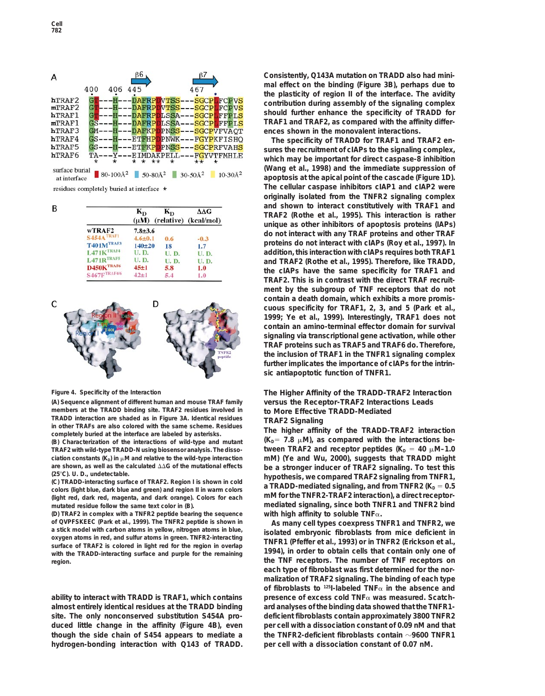

residues completely buried at interface \*

|                            | $K_{D}$<br>$(\mu M)$         | $K_{D}$     | $\Delta\Delta G$<br>(relative) (kcal/mol) |  |
|----------------------------|------------------------------|-------------|-------------------------------------------|--|
| wTRAF2                     |                              |             |                                           |  |
| $S454A$ <sup>TRAF1</sup>   | $7.8 + 3.6$<br>$4.6 \pm 0.1$ |             |                                           |  |
| T401MTRAF3                 | $140 + 20$                   | 0.6<br>18   | $-0.3$<br>1.7                             |  |
| $L471K$ <sup>TRAF4</sup>   | <b>U.D.</b>                  | <b>U.D.</b> | <b>U.D.</b>                               |  |
| $L471R$ <sup>TRAF5</sup>   | <b>U.D.</b>                  | <b>U.D.</b> | U.D.                                      |  |
| $D450K$ <sup>TRAF6</sup>   | $45 + 1$                     | 5.8         | 1.0                                       |  |
| $S467F$ <sup>TRAF4/6</sup> | $42 + 1$                     | 5.4         | 1.0                                       |  |



members at the TRADD binding site. TRAF2 residues involved in **to More Effective TRADD-Mediated**<br>TRADD interaction are shaded as in Figure 3A. Identical residues **TRAF2 Signaling** 

**TRAF2 with wild-type TRADD-N using biosensor analysis. The dissociation constants (K<sub>D</sub>) in μM and relative to the wild-type interaction** mM) (Ye and Wu, 2000), suggests that TRADD might are shown, as well as the calculated ΔΔG of the mutational effects be a stronger inducer of TRAF2

**mutated residue follow the same text color in (B). mediated signaling, since both TNFR1 and TNFR2 bind**

**(D) TRAF2 in complex with a TNFR2 peptide bearing the sequence with high affinity to soluble TNF**a**.** of QVPFSKEEC (Park et al., 1999). The TNFR2 peptide is shown in<br>a stick model with carbon atoms in yellow, nitrogen atoms in blue,<br>oxygen atoms in red, and sulfur atoms in green. TNFR2-interacting<br>surface of TRAF2 is color with the TRADD-interacting surface and purple for the remaining **region. the TNF receptors. The number of TNF receptors on**

**almost entirely identical residues at the TRADD binding ard analyses of the binding data showed that the TNFR1 site. The only nonconserved substitution S454A pro- deficient fibroblasts contain approximately 3800 TNFR2 duced little change in the affinity (Figure 4B), even per cell with a dissociation constant of 0.09 nM and that though the side chain of S454 appears to mediate a the TNFR2-deficient fibroblasts contain** z**9600 TNFR1 hydrogen-bonding interaction with Q143 of TRADD. per cell with a dissociation constant of 0.07 nM.**

**Consistently, Q143A mutation on TRADD also had minimal effect on the binding (Figure 3B), perhaps due to the plasticity of region II of the interface. The avidity contribution during assembly of the signaling complex should further enhance the specificity of TRADD for TRAF1 and TRAF2, as compared with the affinity differences shown in the monovalent interactions.**

**The specificity of TRADD for TRAF1 and TRAF2 ensures the recruitment of cIAPs to the signaling complex, which may be important for direct caspase-8 inhibition (Wang et al., 1998) and the immediate suppression of apoptosis at the apical point of the cascade (Figure 1D). The cellular caspase inhibitors cIAP1 and cIAP2 were originally isolated from the TNFR2 signaling complex and shown to interact constitutively with TRAF1 and TRAF2 (Rothe et al., 1995). This interaction is rather unique as other inhibitors of apoptosis proteins (IAPs) do not interact with any TRAF proteins and other TRAF proteins do not interact with cIAPs (Roy et al., 1997). In addition, this interaction with cIAPs requires both TRAF1 and TRAF2 (Rothe et al., 1995). Therefore, like TRADD, the cIAPs have the same specificity for TRAF1 and TRAF2. This is in contrast with the direct TRAF recruitment by the subgroup of TNF receptors that do not contain a death domain, which exhibits a more promiscuous specificity for TRAF1, 2, 3, and 5 (Park et al., 1999; Ye et al., 1999). Interestingly, TRAF1 does not contain an amino-terminal effector domain for survival signaling via transcriptional gene activation, while other TRAF proteins such as TRAF5 and TRAF6 do. Therefore, the inclusion of TRAF1 in the TNFR1 signaling complex further implicates the importance of cIAPs for the intrinsic antiapoptotic function of TNFR1.**

# **Figure 4. Specificity of the Interaction The Higher Affinity of the TRADD-TRAF2 Interaction (A) Sequence alignment of different human and mouse TRAF family versus the Receptor-TRAF2 Interactions Leads**

TRAF2 Signaling<br>
in other TRAFs are also colored with the same scheme. Residues<br>
completely buried at the interfaction of the interfactions of wild-type and mutant<br>
(B) Characterization of the interactions of wild-type an are shown, as well as the calculated  $\triangle\triangle G$  of the mutational effects<br>
(25°C). U. D., undetectable.<br>
(C) TRADD-interacting surface of TRAF2. Region I is shown in cold<br>
colors (light blue, dark blue and green) and region

**each type of fibroblast was first determined for the normalization of TRAF2 signaling. The binding of each type of fibroblasts to 125I-labeled TNF**a **in the absence and ability to interact with TRADD is TRAF1, which contains presence of excess cold TNF**a **was measured. Scatch-**

B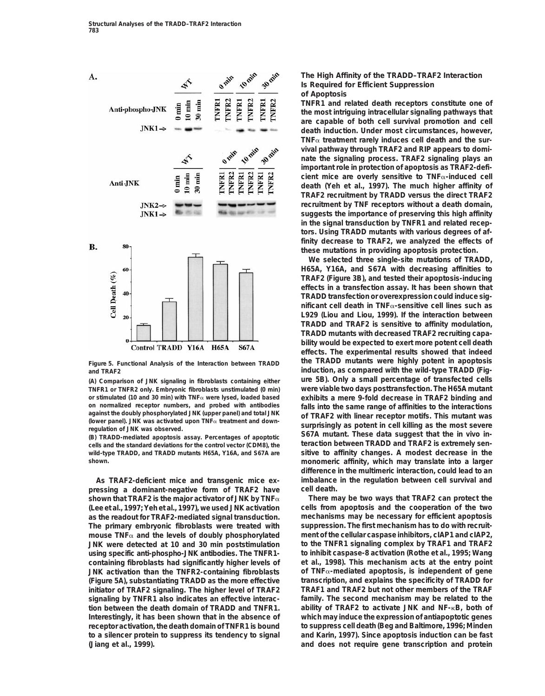

wild-type TRADD, and TRADD mutants H65A, Y16A, and S67A are

pressing a dominant-negative form of TRAF2 have cell death.<br>
shown that TRAF2 is the major activator of JNK by TNF<sub> $\alpha$ </sub> There may be two ways that TRAF2 can protect the **shown that TRAF2 is the major activator of JNK by TNF**α **(Lee et al., 1997; Yeh et al., 1997), we used JNK activation cells from apoptosis and the cooperation of the two as the readout for TRAF2-mediated signal transduction. mechanisms may be necessary for efficient apoptosis The primary embryonic fibroblasts were treated with suppression. The first mechanism has to do with recruitmouse TNF**a **and the levels of doubly phosphorylated ment of the cellular caspase inhibitors, cIAP1 and cIAP2, JNK were detected at 10 and 30 min poststimulation to the TNFR1 signaling complex by TRAF1 and TRAF2 using specific anti-phospho-JNK antibodies. The TNFR1- to inhibit caspase-8 activation (Rothe et al., 1995; Wang containing fibroblasts had significantly higher levels of et al., 1998). This mechanism acts at the entry point JNK activation than the TNFR2-containing fibroblasts of TNF**a**-mediated apoptosis, is independent of gene (Figure 5A), substantiating TRADD as the more effective initiator of TRAF2 signaling. The higher level of TRAF2 TRAF1 and TRAF2 but not other members of the TRAF signaling by TNFR1 also indicates an effective interac- family. The second mechanism may be related to the tion between the death domain of TRADD and TNFR1. ability of TRAF2 to activate JNK and NF-**k**B, both of Interestingly, it has been shown that in the absence of which may induce the expression of antiapoptotic genes receptor activation, the death domain of TNFR1 is bound to suppress cell death (Beg and Baltimore, 1996; Minden to a silencer protein to suppress its tendency to signal and Karin, 1997). Since apoptosis induction can be fast (Jiang et al., 1999). and does not require gene transcription and protein**

## **The High Affinity of the TRADD–TRAF2 Interaction Is Required for Efficient Suppression of Apoptosis**

**TNFR1 and related death receptors constitute one of the most intriguing intracellular signaling pathways that are capable of both cell survival promotion and cell death induction. Under most circumstances, however, TNF**a **treatment rarely induces cell death and the survival pathway through TRAF2 and RIP appears to dominate the signaling process. TRAF2 signaling plays an important role in protection of apoptosis as TRAF2-deficient mice are overly sensitive to TNF**a**-induced cell death (Yeh et al., 1997). The much higher affinity of TRAF2 recruitment by TRADD versus the direct TRAF2 recruitment by TNF receptors without a death domain, suggests the importance of preserving this high affinity in the signal transduction by TNFR1 and related receptors. Using TRADD mutants with various degrees of affinity decrease to TRAF2, we analyzed the effects of**

**these mutations in providing apoptosis protection. We selected three single-site mutations of TRADD, H65A, Y16A, and S67A with decreasing affinities to TRAF2 (Figure 3B), and tested their apoptosis-inducing effects in a transfection assay. It has been shown that TRADD transfection or overexpression could induce significant cell death in TNF**a**-sensitive cell lines such as L929 (Liou and Liou, 1999). If the interaction between TRADD and TRAF2 is sensitive to affinity modulation, TRADD mutants with decreased TRAF2 recruiting capability would be expected to exert more potent cell death effects. The experimental results showed that indeed the TRADD mutants were highly potent in apoptosis Figure 5. Functional Analysis of the Interaction between TRADD and TRAF2 induction, as compared with the wild-type TRADD (Fig- (A) Comparison of JNK signaling in fibroblasts containing either ure 5B). Only a small percentage of transfected cells TNFR1 or TNFR2 only. Embryonic fibroblasts unstimulated (0 min) were viable two days posttransfection. The H65A mutant or stimulated (10 and 30 min) with TNF**a **were lysed, loaded based exhibits a mere 9-fold decrease in TRAF2 binding and** on normalized receptor numbers, and probed with antibodies<br>against the doubly phosphorylated JNK (upper panel) and total JNK<br>(lower panel). JNK was activated upon TNF<sub>α</sub> treatment and down-<br>regulation of JNK was observed. (B) TRADD-mediated apoptosis assay. Percentages of apoptotic and the standard deviations for the control vector (CDM8), the control of teraction between TRADD and TRAF2 is extremely sen-<br>
wild-type TRADD, and TRADD mutants **shown. monomeric affinity, which may translate into a larger difference in the multimeric interaction, could lead to an As TRAF2-deficient mice and transgenic mice ex- imbalance in the regulation between cell survival and**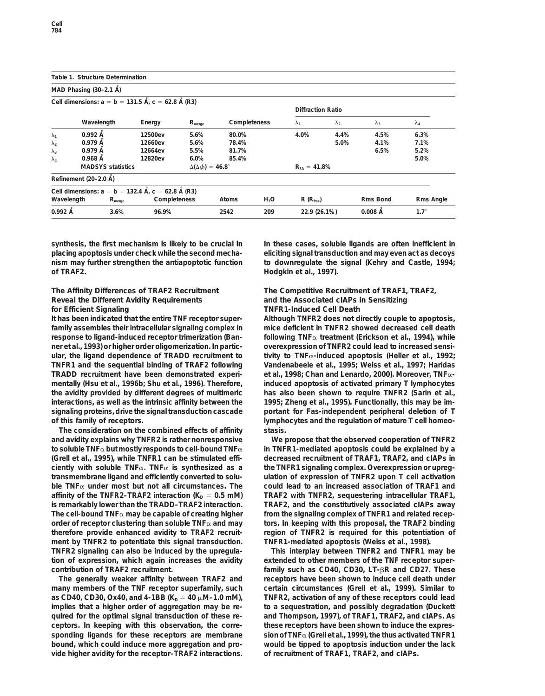|                   | Table 1. Structure Determination                                |                                                                        |                    |                   |                  |                          |             |               |             |  |  |  |  |
|-------------------|-----------------------------------------------------------------|------------------------------------------------------------------------|--------------------|-------------------|------------------|--------------------------|-------------|---------------|-------------|--|--|--|--|
|                   | MAD Phasing $(30-2.1 \text{ Å})$                                |                                                                        |                    |                   |                  |                          |             |               |             |  |  |  |  |
|                   |                                                                 | Cell dimensions: $a = b = 131.5$ Å, $c = 62.8$ Å (R3)                  |                    |                   |                  | <b>Diffraction Ratio</b> |             |               |             |  |  |  |  |
|                   | Wavelength                                                      | Energy                                                                 | $R_{\text{merge}}$ | Completeness      |                  | $\lambda_{1}$            | $\lambda_2$ | $\lambda_3$   | $\lambda_4$ |  |  |  |  |
| $\lambda_1$       | $0.992 \text{ Å}$                                               | 12500ev                                                                | 5.6%               | 80.0%             |                  | 4.0%                     | 4.4%        | 4.5%          | 6.3%        |  |  |  |  |
| $\lambda_2$       | 0.979A                                                          | 12660ev                                                                | 5.6%               | 78.4%             |                  |                          | 5.0%        | 4.1%          | 7.1%        |  |  |  |  |
| $\lambda_3$       | 0.979A                                                          | 12664ev                                                                | 5.5%               | 81.7%             |                  |                          |             | 6.5%          | 5.2%        |  |  |  |  |
| $\lambda_4$       | 0.968A                                                          | 12820ev                                                                | 6.0%               | 85.4%             |                  |                          |             |               | 5.0%        |  |  |  |  |
|                   | <b>MADSYS statistics</b><br>$\Delta(\Delta\phi) = 46.8^{\circ}$ |                                                                        |                    | $R_{FA} = 41.8\%$ |                  |                          |             |               |             |  |  |  |  |
|                   | Refinement (20-2.0 Å)                                           |                                                                        |                    |                   |                  |                          |             |               |             |  |  |  |  |
|                   |                                                                 | Cell dimensions: $a = b = 132.4 \text{ Å}$ . $c = 62.8 \text{ Å}$ (R3) |                    |                   |                  |                          |             |               |             |  |  |  |  |
| Wavelength        |                                                                 | $R_{\rm merge}$                                                        | Completeness       | Atoms             | H <sub>2</sub> O | $R(R_{\text{free}})$     |             | Rms Bond      | Rms Angle   |  |  |  |  |
| $0.992 \text{ Å}$ |                                                                 | 3.6%<br>96.9%                                                          |                    | 2542              | 209              | 22.9 (26.1%)             |             | $0.008$ $\AA$ | $1.7^\circ$ |  |  |  |  |

synthesis, the first mechanism is likely to be crucial in In these cases, soluble ligands are often inefficient in **placing apoptosis under check while the second mecha- eliciting signal transduction and may even act as decoys nism may further strengthen the antiapoptotic function to downregulate the signal (Kehry and Castle, 1994; of TRAF2. Hodgkin et al., 1997).**

## **Reveal the Different Avidity Requirements and the Associated cIAPs in Sensitizing for Efficient Signaling TNFR1-Induced Cell Death**

**It has been indicated that the entire TNF receptor super- Although TNFR2 does not directly couple to apoptosis, family assembles their intracellular signaling complex in mice deficient in TNFR2 showed decreased cell death response to ligand-induced receptor trimerization (Ban- following TNF**a **treatment (Erickson et al., 1994), while ner et al., 1993) or higher order oligomerization. In partic- overexpression of TNFR2 could lead to increased sensiular, the ligand dependence of TRADD recruitment to tivity to TNF**a**-induced apoptosis (Heller et al., 1992; TNFR1 and the sequential binding of TRAF2 following Vandenabeele et al., 1995; Weiss et al., 1997; Haridas TRADD recruitment have been demonstrated experi- et al., 1998; Chan and Lenardo, 2000). Moreover, TNF**a**mentally (Hsu et al., 1996b; Shu et al., 1996). Therefore, induced apoptosis of activated primary T lymphocytes the avidity provided by different degrees of multimeric has also been shown to require TNFR2 (Sarin et al., interactions, as well as the intrinsic affinity between the 1995; Zheng et al., 1995). Functionally, this may be imsignaling proteins, drive the signal transduction cascade portant for Fas-independent peripheral deletion of T** of this family of receptors. **and the regulation of mature T cell homeo-**

**The consideration on the combined effects of affinity stasis. and avidity explains why TNFR2 is rather nonresponsive We propose that the observed cooperation of TNFR2 to soluble TNF**a **but mostly responds to cell-bound TNF**a **in TNFR1-mediated apoptosis could be explained by a (Grell et al., 1995), while TNFR1 can be stimulated effi- decreased recruitment of TRAF1, TRAF2, and cIAPs in ciently with soluble TNF**a**. TNF**a **is synthesized as a the TNFR1 signaling complex. Overexpression or upregtransmembrane ligand and efficiently converted to solu- ulation of expression of TNFR2 upon T cell activation ble TNF**a **under most but not all circumstances. The could lead to an increased association of TRAF1 and** affinity of the TNFR2–TRAF2 interaction (K<sub>D</sub> = 0.5 mM) TRAF2 with TNFR2, sequestering intracellular TRAF1, **is remarkably lower than the TRADD–TRAF2 interaction. TRAF2, and the constitutively associated cIAPs away** The cell-bound  $TNF\alpha$  may be capable of creating higher  $\qquad$  from the signaling complex of TNFR1 and related recep**order of receptor clustering than soluble TNF**a **and may tors. In keeping with this proposal, the TRAF2 binding therefore provide enhanced avidity to TRAF2 recruit- region of TNFR2 is required for this potentiation of ment by TNFR2 to potentiate this signal transduction. TNFR1-mediated apoptosis (Weiss et al., 1998). TNFR2 signaling can also be induced by the upregula- This interplay between TNFR2 and TNFR1 may be tion of expression, which again increases the avidity extended to other members of the TNF receptor supercontribution of TRAF2 recruitment. family such as CD40, CD30, LT-**b**R and CD27. These**

**many members of the TNF receptor superfamily, such certain circumstances (Grell et al., 1999). Similar to as CD40, CD30, Ox40, and 4-1BB (K<sub>D</sub> = 40**  $\mu$ **M-1.0 mM), TNFR2, activation of any of these receptors could lead implies that a higher order of aggregation may be re- to a sequestration, and possibly degradation (Duckett quired for the optimal signal transduction of these re- and Thompson, 1997), of TRAF1, TRAF2, and cIAPs. As ceptors. In keeping with this observation, the corre- these receptors have been shown to induce the expressponding ligands for these receptors are membrane sion of TNF**a **(Grell et al., 1999), the thus activated TNFR1 bound, which could induce more aggregation and pro- would be tipped to apoptosis induction under the lack vide higher avidity for the receptor–TRAF2 interactions. of recruitment of TRAF1, TRAF2, and cIAPs.**

# **The Affinity Differences of TRAF2 Recruitment The Competitive Recruitment of TRAF1, TRAF2,**

**The generally weaker affinity between TRAF2 and receptors have been shown to induce cell death under**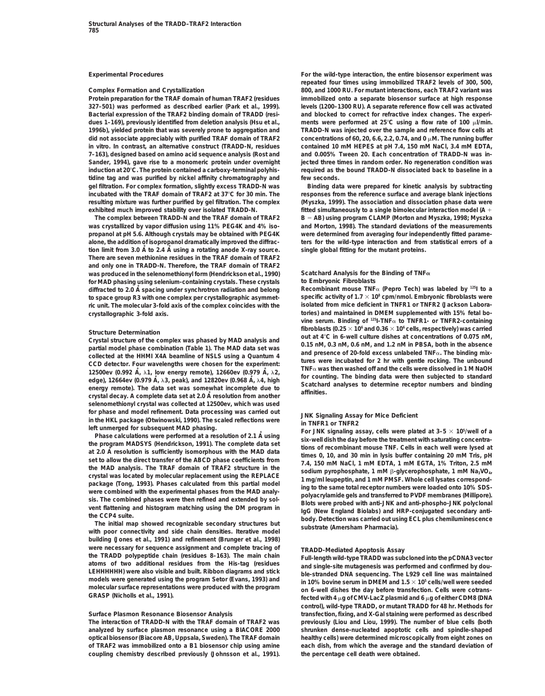**327–501) was performed as described earlier (Park et al., 1999). levels (1200–1300 RU). A separate reference flow cell was activated** Bacterial expression of the TRAF2 binding domain of TRADD (resi-<br>
dues 1–169), previously identified from deletion analysis (Hsu et al., ments were performed at 25°C using a flow rate of 100 µl/min. **1996b), yielded protein that was severely prone to aggregation and TRADD-N was injected over the sample and reference flow cells at** did not associate appreciably with purified TRAF domain of TRAF2 concentrations of 60, 20, 6.6, 2.2, 0.74, and 0  $\mu$ M. The running buffer **in vitro. In contrast, an alternative construct (TRADD-N, residues contained 10 mM HEPES at pH 7.4, 150 mM NaCl, 3.4 mM EDTA, 7–163), designed based on amino acid sequence analysis (Rost and and 0.005% Tween 20. Each concentration of TRADD-N was in-**Sander, 1994), gave rise to a monomeric protein under overnight jected three times in random order. No regeneration condition was **induction at 20**8**C. The protein contained a carboxy-terminal polyhis- required as the bound TRADD-N dissociated back to baseline in a tidine tag and was purified by nickel affinity chromatography and few seconds. gel filtration. For complex formation, slightly excess TRADD-N was Binding data were prepared for kinetic analysis by subtracting incubated with the TRAF domain of TRAF2 at 37**8**C for 30 min. The responses from the reference surface and average blank injections resulting mixture was further purified by gel filtration. The complex (Myszka, 1999). The association and dissociation phase data were**

**tion limit from 3.0 A single global fitting for the mutant proteins. ˚ to 2.4 A˚ using a rotating anode X-ray source. There are seven methionine residues in the TRAF domain of TRAF2 and only one in TRADD-N. Therefore, the TRAF domain of TRAF2 was produced in the selenomethionyl form (Hendrickson et al., 1990) Scatchard Analysis for the Binding of TNF**a **for MAD phasing using selenium-containing crystals. These crystals to Embryonic Fibroblasts** to space group R3 with one complex per crystallographic asymmet-

**selenomethionyl crystal was collected at 12500ev, which was used** for phase and model refinement. Data processing was carried out<br>in the HKL package (Otwinowski, 1990). The scaled reflections were<br>left unmerged for subsequent MAD phasing.<br>Phase calculations were performed at a resolutio

**building (Jones et al., 1991) and refinement (Brunger et al., 1998)** Were necessary for sequence assignment and complete tracing of<br>
the TRADD polypeptide chain (residues 8–163). The main chain<br>
atoms of two additional residues from the His-tag (residues<br>
LEHHHHHH) were also visible and bui

**coupling chemistry described previously (Johnsson et al., 1991). the percentage cell death were obtained.**

**Experimental Procedures For the wild-type interaction, the entire biosensor experiment was repeated four times using immobilized TRAF2 levels of 300, 500, Complex Formation and Crystallization 800, and 1000 RU. For mutant interactions, each TRAF2 variant was Protein preparation for the TRAF domain of human TRAF2 (residues immobilized onto a separate biosensor surface at high response** ments were performed at 25°C using a flow rate of 100  $\mu$ l/min.

**exhibited much improved stability over isolated TRADD-N. fitted simultaneously to a single bimolecular interaction model (A** 1 **The complex between TRADD-N and the TRAF domain of TRAF2 B** 5 **AB) using program CLAMP (Morton and Myszka, 1998; Myszka was crystallized by vapor diffusion using 11% PEG4K and 4% iso- and Morton, 1998). The standard deviations of the measurements propanol at pH 5.6. Although crystals may be obtained with PEG4K were determined from averaging four independently fitted paramealone, the addition of isopropanol dramatically improved the diffrac- ters for the wild-type interaction and from statistical errors of a**

**Recombinant mouse TNFa (Pepro Tech)** was labeled by <sup>125</sup>l to a<br>
to space group R3 with one complex per crystallographic asymmet-<br>
specific activity of 1.7 × 10<sup>8</sup> cpm/nmol. Embryonic fibroblasts were **ric unit. The molecular 3-fold axis of the complex coincides with the isolated from mice deficient in TNFR1 or TNFR2 (Jackson Laboracrystallographic 3-fold axis. tories) and maintained in DMEM supplemented with 15% fetal bovine serum. Binding of 125I-TNF**a **to TNFR1- or TNFR2-containing fibroblasts (0.25**  $\times$  10<sup>6</sup> and 0.36  $\times$  10<sup>6</sup> cells, respectively) was carried<br>Out at 4°C in 6-well culture dishes at concentrations of 0.075 nM, Crystal structure of the complex was phased by MAD analysis and<br>
cout at 4°C in 6-well culture dishes at concentrations of 0.075 nM,<br>
partial model phase combination (Table 1). The MAD data set was<br>
collected at the HHMI

For JNK signaling assay, cells were plated at 3-5 × 10°/well of a<br>
Phase calculations were performed at a resolution of 2.1 Å using<br>
the program MADSYS (Hendrickson, 1991). The complete data set<br>
tions of recombinant mouse

models were generated using the program Setor (Evans, 1993) and<br>
molecular surface representations were produced with the program<br>
GRASP (Nicholls et al., 1991).<br>
GRASP (Nicholls et al., 1991).<br>
fected with 4  $\mu$ g of CMV **control), wild-type TRADD, or mutant TRADD for 48 hr. Methods for Surface Plasmon Resonance Biosensor Analysis transfection, fixing, and X-Gal staining were performed as described The interaction of TRADD-N with the TRAF domain of TRAF2 was previously (Liou and Liou, 1999). The number of blue cells (both analyzed by surface plasmon resonance using a BIACORE 2000 shrunken dense-nucleated apoptotic cells and spindle-shaped optical biosensor (Biacore AB, Uppsala, Sweden). The TRAF domain healthy cells) were determined microscopically from eight zones on of TRAF2 was immobilized onto a B1 biosensor chip using amine each dish, from which the average and the standard deviation of**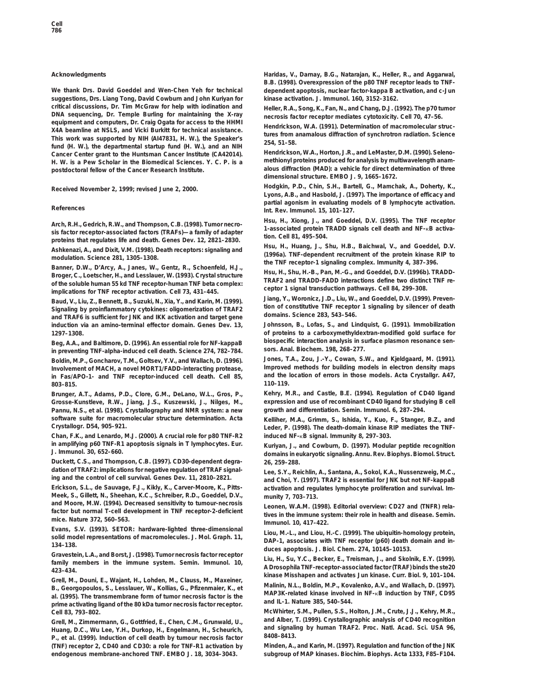**suggestions, Drs. Liang Tong, David Cowburn and John Kuriyan for kinase activation. J. Immunol.** *160***, 3152–3162.** critical discussions, Dr. Tim McGraw for help with iodination and<br>
DNA sequencing, Dr. Temple Burling for maintaining the X-ray<br>
equipment and computers, Dr. Craig Ogata for access to the HHMI<br>
Landviology M.A. (1991) Dete Equipment and computers, D. Chang Ogata for access to the Firmin<br>
X4A beamline at NSLS, and Vicki Burkit for technical assistance.<br>
This work was supported by NIH (Al47831, H. W.), the Speaker's<br>
fund (H. W.), the departme **Cancer Center grant to the Huntsman Cancer Institute (CA42014). Hendrickson, W.A., Horton, J.R., and LeMaster, D.M. (1990). Seleno-**H. W. is a Pew Scholar in the Biomedical Sciences. Y. C. P. is a **postdoctoral fellow of the Cancer Research Institute. alous diffraction (MAD): a vehicle for direct determination of three**

Arch, R.H., Gedrich, R.W., and Thompson, C.B. (1998). Tumor necro-<br>sis factor receptor-associated factors (TRAFs)—a family of adapter<br>proteins that regulates life and death. Genes Dev. 12, 2821–2830.<br>Ashbanari A. and Disti

Broger, C., Loetscher, H., Janes, W., Gentz, K., Schoenield, H.J.,<br>Broger, C., Loetscher, H., Studies and TRADD-FADD interactions define two distinct TNF re-<br>of the soluble human S5 kd TNF receptor-human TNF beta complex:<br>

Baud, V., Liu, Z., Bennett, B., Suzuki, N., Xia, Y., and Karin, M. (1999).<br>
Signaling by proinflammatory cytokines: oligomerization of TRAF2<br>
and TRAF6 is sufficient for JNK and IKK activation and target gene<br>
induction vi

**sors. Anal. Biochem.** *198***, 268–277. in preventing TNF-alpha-induced cell death. Science** *274***, 782–784. Boldin, M.P., Goncharov, T.M., Goltsev, Y.V., and Wallach, D. (1996). Jones, T.A., Zou, J.-Y., Cowan, S.W., and Kjeldgaard, M. (1991).** in Fas/APO-1- and TNF receptor-induced cell death. Cell 85, **803–815. 110–119.**

Grosse-Kunstleve, R.W., Jiang, J.S., Kuszewski, J., Nilges, M., **Pannu, N.S., et al. (1998). Crystallography and NMR system: a new growth and differentiation. Semin. Immunol.** *6***, 287–294. software suite for macromolecular structure determination. Acta Kelliher, M.A., Grimm, S., Ishida, Y., Kuo, F., Stanger, B.Z., and**

**Chan, F.K., and Lenardo, M.J. (2000). A crucial role for p80 TNF-R2 induced NF-**k**B signal. Immunity** *8***, 297–303. in amplifying p60 TNF-R1 apoptosis signals in T lymphocytes. Eur. Kuriyan, J., and Cowburn, D. (1997). Modular peptide recognition**

**Duckett, C.S., and Thompson, C.B. (1997). CD30-dependent degra-** *26***, 259–288.**

**Meek, S., Gillett, N., Sheehan, K.C., Schreiber, R.D., Goeddel, D.V., munity** *7***, 703–713.**

Stavestein, E.A., and Borst, D. (1990). Tambi necrosis factor receptor<br>
family members in the immune system. Semin. Immunol. 10,<br>
A Drosophila TNF-receptor-associated factor (TRAF) binds the ste20

Grell, M., Douni, E., Wajant, H., Lohden, M., Clauss, M., Maxeiner,<br>
B., Georgopoulos, S., Lesslauer, W., Kollias, G., Pfizenmaier, K., et Malinin, N.L., Boldin, M.P., Kovalenko, A.V., and Wallach, D. (1997).<br>
al. (1995).

**and signaling by Family Buman Transformalism** Human Transformal Communication of cell death by tumour persons factor and 8408-8413. **8408–8413. P., et al. (1999). Induction of cell death by tumour necrosis factor (TNF) receptor 2, CD40 and CD30: a role for TNF-R1 activation by Minden, A., and Karin, M. (1997). Regulation and function of the JNK endogenous membrane-anchored TNF. EMBO J.** *18***, 3034–3043. subgroup of MAP kinases. Biochim. Biophys. Acta** *1333***, F85–F104.**

**Acknowledgments Haridas, V., Darnay, B.G., Natarajan, K., Heller, R., and Aggarwal, B.B. (1998). Overexpression of the p80 TNF receptor leads to TNF-We thank Drs. David Goeddel and Wen-Chen Yeh for technical dependent apoptosis, nuclear factor-kappa B activation, and c-Jun**

**dimensional structure. EMBO J.** *9***, 1665–1672.**

**Hodgkin, P.D., Chin, S.H., Bartell, G., Mamchak, A., Doherty, K., Received November 2, 1999; revised June 2, 2000. Lyons, A.B., and Hasbold, J. (1997). The importance of efficacy and partial agonism in evaluating models of B lymphocyte activation.**<br>Int. Rev. Immunol. 15, 101–127.

Ashkenazi, A., and Dixit, V.M. (1998). Death receptors: signaling and<br>modulation. Science 281, 1305–1308. (1998). TNF-dependent recruitment of the protein kinase RIP to<br>Banner, D.W., D'Arcy, A., Janes, W., Gentz, R., Schoe

Johnsson, B., Lofas, S., and Lindquist, G. (1991). Immobilization **1297–1308. of proteins to a carboxymethyldextran-modified gold surface for** Beg, A.A., and Baltimore, D. (1996). An essential role for NF-kappaB biospecific interaction analysis in surface plasmon resonance sen-<br>in preventing TNF-alpha-induced cell death Science 274 782-784 sors. Anal. Biochem. 19

**Involvement of MACH, a novel MORT1/FADD-interacting protease, Improved methods for building models in electron density maps**

**Brunger, A.T., Adams, P.D., Clore, G.M., DeLano, W.L., Gros, P., Kehry, M.R., and Castle, B.E. (1994). Regulation of CD40 ligand**

Leder, P. (1998). The death-domain kinase RIP mediates the TNF-

**J. Immunol.** *30***, 652–660. domains in eukaryotic signaling. Annu. Rev. Biophys. Biomol. Struct.**

dation of TRAF2: implications for negative regulation of TRAF signal-<br>ing and the control of cell survival. Genes Dev. 11, 2810–2821. and Choi, Y. (1997). TRAF2 is essential for JNK but not NF-kappaB<br>Erickson, S.L., de Sau activation and regulates lymphocyte proliferation and survival. Im-

and Moore, M.W. (1994). Decreased sensitivity to tumour-necrosis<br>factor but normal T-cell development in TNF receptor-2-deficient<br>mice. Nature 372, 560-563.<br>Evans, S.V. (1993). SETOR: hardware-lighted three-dimensional<br>Eva

Example of the USBN District of the C. (1999). The ubiquitin-homology protein,<br>
134–138.<br>
Straph. 17, DAP-1, associates with TNF receptor (p60) death domain and in-<br>
134–138.<br>
Gravestein, L.A., and Borst, J. (1998). Tumor

**kinase Misshapen and activates Jun kinase. Curr. Biol.** *9***, 101–104.**

**Cell** *83* **McWhirter, S.M., Pullen, S.S., Holton, J.M., Crute, J.J., Kehry, M.R., , 793–802. and Alber, T. (1999). Crystallographic analysis of CD40 recognition Grell, M., Zimmermann, G., Gottfried, E., Chen, C.M., Grunwald, U.,**